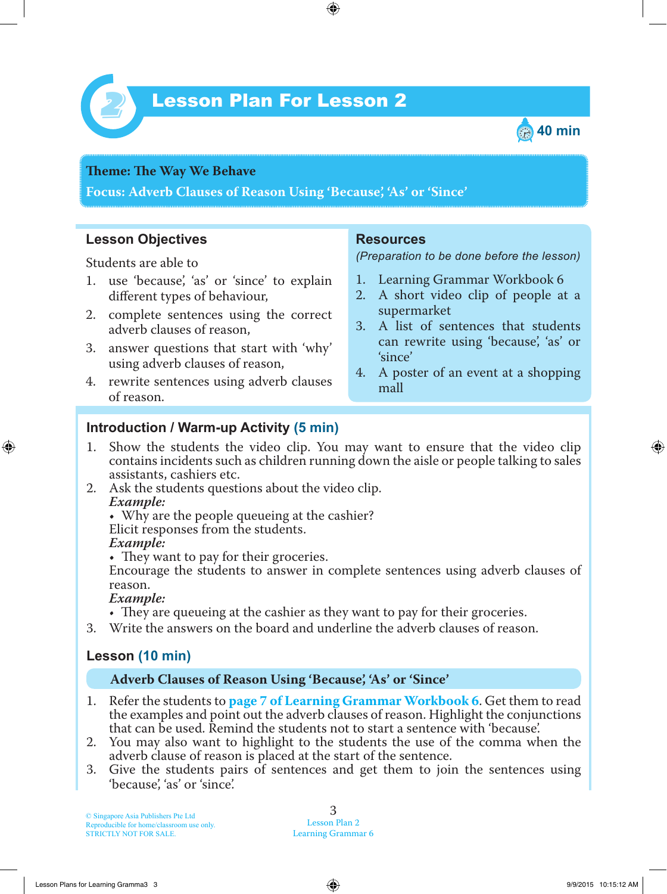

# Lesson Plan For Lesson 2 *2*



#### **Theme: The Way We Behave**

**Focus: Adverb Clauses of Reason Using 'Because', 'As' or 'Since'**

### **Lesson Objectives**

Students are able to

- 1. use 'because', 'as' or 'since' to explain different types of behaviour,
- 2. complete sentences using the correct adverb clauses of reason,
- 3. answer questions that start with 'why' using adverb clauses of reason,
- 4. rewrite sentences using adverb clauses of reason.

#### **Resources**

*(Preparation to be done before the lesson)*

- 1. Learning Grammar Workbook 6
- 2. A short video clip of people at a supermarket
- 3. A list of sentences that students can rewrite using 'because', 'as' or 'since'
- 4. A poster of an event at a shopping mall

## **Introduction / Warm-up Activity (5 min)**

- 1. Show the students the video clip. You may want to ensure that the video clip contains incidents such as children running down the aisle or people talking to sales assistants, cashiers etc.
- 2. Ask the students questions about the video clip.  *Example:*

• Why are the people queueing at the cashier? Elicit responses from the students.

#### *Example:*

• They want to pay for their groceries.

Encourage the students to answer in complete sentences using adverb clauses of reason.

#### *Example:*

- They are queueing at the cashier as they want to pay for their groceries.
- 3. Write the answers on the board and underline the adverb clauses of reason.

## **Lesson (10 min)**

#### **Adverb Clauses of Reason Using 'Because', 'As' or 'Since'**

- 1. Refer the students to **page 7 of Learning Grammar Workbook 6**. Get them to read the examples and point out the adverb clauses of reason. Highlight the conjunctions that can be used. Remind the students not to start a sentence with 'because'.
- 2. You may also want to highlight to the students the use of the comma when the adverb clause of reason is placed at the start of the sentence.
- 3. Give the students pairs of sentences and get them to join the sentences using 'because', 'as' or 'since'.